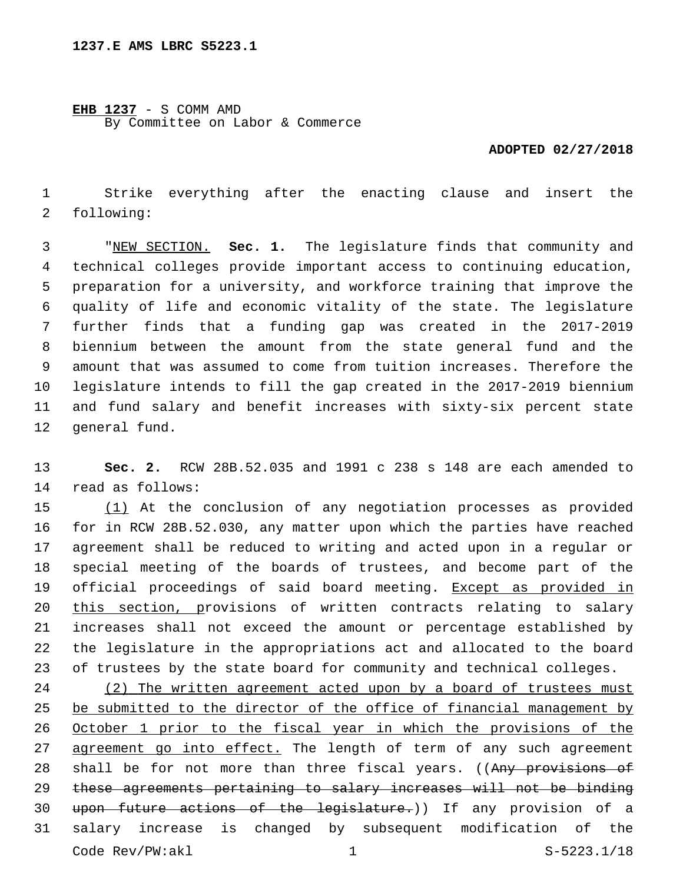## **EHB 1237** - S COMM AMD

By Committee on Labor & Commerce

## **ADOPTED 02/27/2018**

 Strike everything after the enacting clause and insert the 2 following:

 "NEW SECTION. **Sec. 1.** The legislature finds that community and technical colleges provide important access to continuing education, preparation for a university, and workforce training that improve the quality of life and economic vitality of the state. The legislature further finds that a funding gap was created in the 2017-2019 biennium between the amount from the state general fund and the amount that was assumed to come from tuition increases. Therefore the legislature intends to fill the gap created in the 2017-2019 biennium and fund salary and benefit increases with sixty-six percent state general fund.

 **Sec. 2.** RCW 28B.52.035 and 1991 c 238 s 148 are each amended to 14 read as follows:

 (1) At the conclusion of any negotiation processes as provided for in RCW 28B.52.030, any matter upon which the parties have reached agreement shall be reduced to writing and acted upon in a regular or special meeting of the boards of trustees, and become part of the 19 official proceedings of said board meeting. Except as provided in this section, provisions of written contracts relating to salary increases shall not exceed the amount or percentage established by the legislature in the appropriations act and allocated to the board of trustees by the state board for community and technical colleges.

 (2) The written agreement acted upon by a board of trustees must be submitted to the director of the office of financial management by October 1 prior to the fiscal year in which the provisions of the 27 agreement go into effect. The length of term of any such agreement 28 shall be for not more than three fiscal years. ((Any provisions of these agreements pertaining to salary increases will not be binding upon future actions of the legislature.)) If any provision of a salary increase is changed by subsequent modification of the Code Rev/PW:akl 1 S-5223.1/18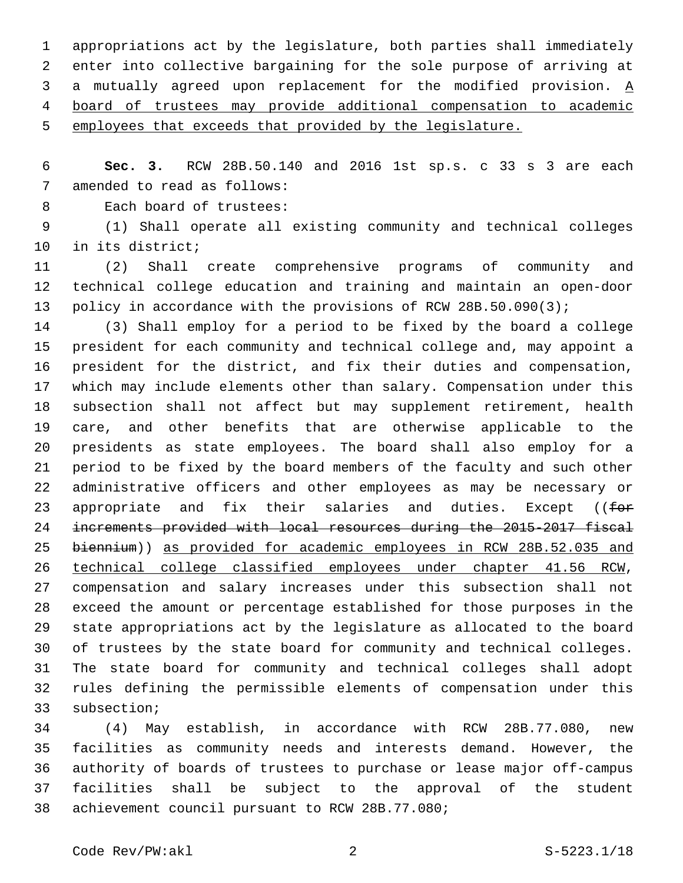appropriations act by the legislature, both parties shall immediately enter into collective bargaining for the sole purpose of arriving at a mutually agreed upon replacement for the modified provision. A board of trustees may provide additional compensation to academic employees that exceeds that provided by the legislature.

 **Sec. 3.** RCW 28B.50.140 and 2016 1st sp.s. c 33 s 3 are each 7 amended to read as follows:

8 Each board of trustees:

 (1) Shall operate all existing community and technical colleges 10 in its district;

 (2) Shall create comprehensive programs of community and technical college education and training and maintain an open-door policy in accordance with the provisions of RCW 28B.50.090(3);

 (3) Shall employ for a period to be fixed by the board a college president for each community and technical college and, may appoint a president for the district, and fix their duties and compensation, which may include elements other than salary. Compensation under this subsection shall not affect but may supplement retirement, health care, and other benefits that are otherwise applicable to the presidents as state employees. The board shall also employ for a period to be fixed by the board members of the faculty and such other administrative officers and other employees as may be necessary or 23 appropriate and fix their salaries and duties. Except ((for increments provided with local resources during the 2015-2017 fiscal 25 biennium)) as provided for academic employees in RCW 28B.52.035 and technical college classified employees under chapter 41.56 RCW, compensation and salary increases under this subsection shall not exceed the amount or percentage established for those purposes in the state appropriations act by the legislature as allocated to the board of trustees by the state board for community and technical colleges. The state board for community and technical colleges shall adopt rules defining the permissible elements of compensation under this 33 subsection;

 (4) May establish, in accordance with RCW 28B.77.080, new facilities as community needs and interests demand. However, the authority of boards of trustees to purchase or lease major off-campus facilities shall be subject to the approval of the student 38 achievement council pursuant to RCW 28B.77.080;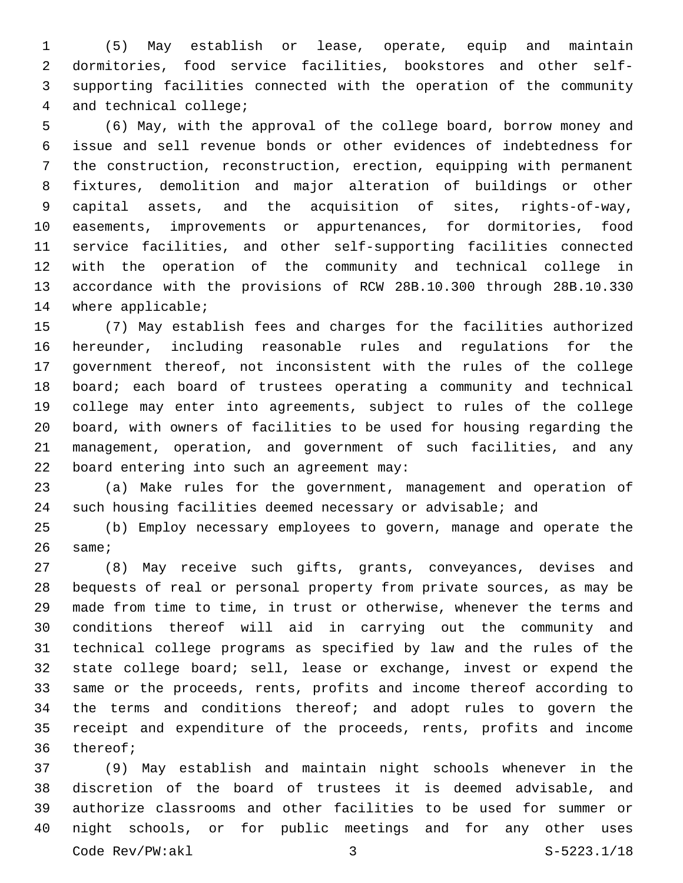(5) May establish or lease, operate, equip and maintain dormitories, food service facilities, bookstores and other self- supporting facilities connected with the operation of the community 4 and technical college;

 (6) May, with the approval of the college board, borrow money and issue and sell revenue bonds or other evidences of indebtedness for the construction, reconstruction, erection, equipping with permanent fixtures, demolition and major alteration of buildings or other capital assets, and the acquisition of sites, rights-of-way, easements, improvements or appurtenances, for dormitories, food service facilities, and other self-supporting facilities connected with the operation of the community and technical college in accordance with the provisions of RCW 28B.10.300 through 28B.10.330 14 where applicable;

 (7) May establish fees and charges for the facilities authorized hereunder, including reasonable rules and regulations for the government thereof, not inconsistent with the rules of the college board; each board of trustees operating a community and technical college may enter into agreements, subject to rules of the college board, with owners of facilities to be used for housing regarding the management, operation, and government of such facilities, and any 22 board entering into such an agreement may:

 (a) Make rules for the government, management and operation of such housing facilities deemed necessary or advisable; and

 (b) Employ necessary employees to govern, manage and operate the same;

 (8) May receive such gifts, grants, conveyances, devises and bequests of real or personal property from private sources, as may be made from time to time, in trust or otherwise, whenever the terms and conditions thereof will aid in carrying out the community and technical college programs as specified by law and the rules of the state college board; sell, lease or exchange, invest or expend the same or the proceeds, rents, profits and income thereof according to the terms and conditions thereof; and adopt rules to govern the receipt and expenditure of the proceeds, rents, profits and income 36 thereof;

 (9) May establish and maintain night schools whenever in the discretion of the board of trustees it is deemed advisable, and authorize classrooms and other facilities to be used for summer or night schools, or for public meetings and for any other uses Code Rev/PW:akl 3 S-5223.1/18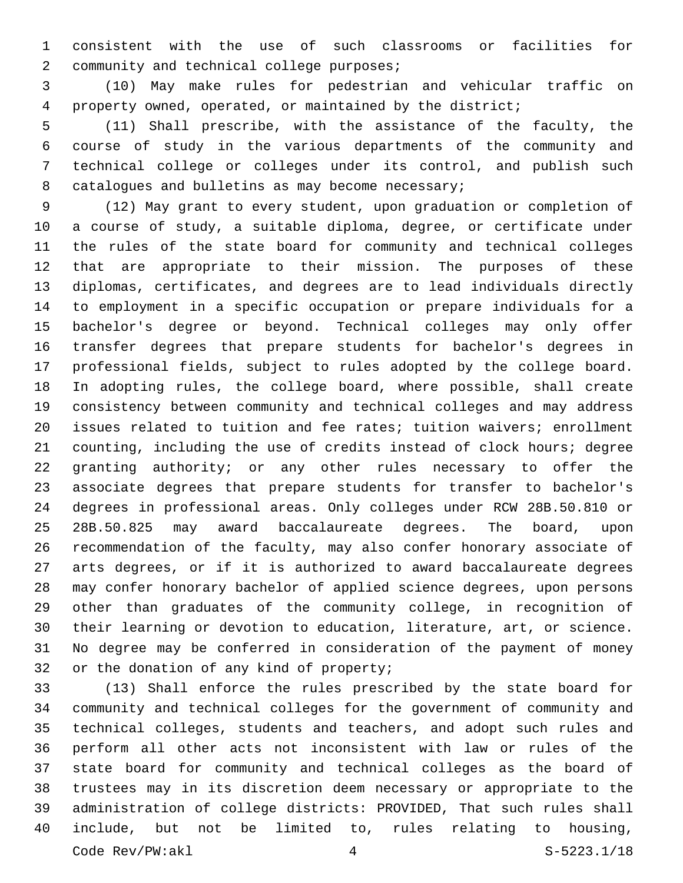consistent with the use of such classrooms or facilities for 2 community and technical college purposes;

 (10) May make rules for pedestrian and vehicular traffic on property owned, operated, or maintained by the district;

 (11) Shall prescribe, with the assistance of the faculty, the course of study in the various departments of the community and technical college or colleges under its control, and publish such 8 catalogues and bulletins as may become necessary;

 (12) May grant to every student, upon graduation or completion of a course of study, a suitable diploma, degree, or certificate under the rules of the state board for community and technical colleges that are appropriate to their mission. The purposes of these diplomas, certificates, and degrees are to lead individuals directly to employment in a specific occupation or prepare individuals for a bachelor's degree or beyond. Technical colleges may only offer transfer degrees that prepare students for bachelor's degrees in professional fields, subject to rules adopted by the college board. In adopting rules, the college board, where possible, shall create consistency between community and technical colleges and may address issues related to tuition and fee rates; tuition waivers; enrollment counting, including the use of credits instead of clock hours; degree granting authority; or any other rules necessary to offer the associate degrees that prepare students for transfer to bachelor's degrees in professional areas. Only colleges under RCW 28B.50.810 or 28B.50.825 may award baccalaureate degrees. The board, upon recommendation of the faculty, may also confer honorary associate of arts degrees, or if it is authorized to award baccalaureate degrees may confer honorary bachelor of applied science degrees, upon persons other than graduates of the community college, in recognition of their learning or devotion to education, literature, art, or science. No degree may be conferred in consideration of the payment of money 32 or the donation of any kind of property;

 (13) Shall enforce the rules prescribed by the state board for community and technical colleges for the government of community and technical colleges, students and teachers, and adopt such rules and perform all other acts not inconsistent with law or rules of the state board for community and technical colleges as the board of trustees may in its discretion deem necessary or appropriate to the administration of college districts: PROVIDED, That such rules shall include, but not be limited to, rules relating to housing, Code Rev/PW:akl 4 S-5223.1/18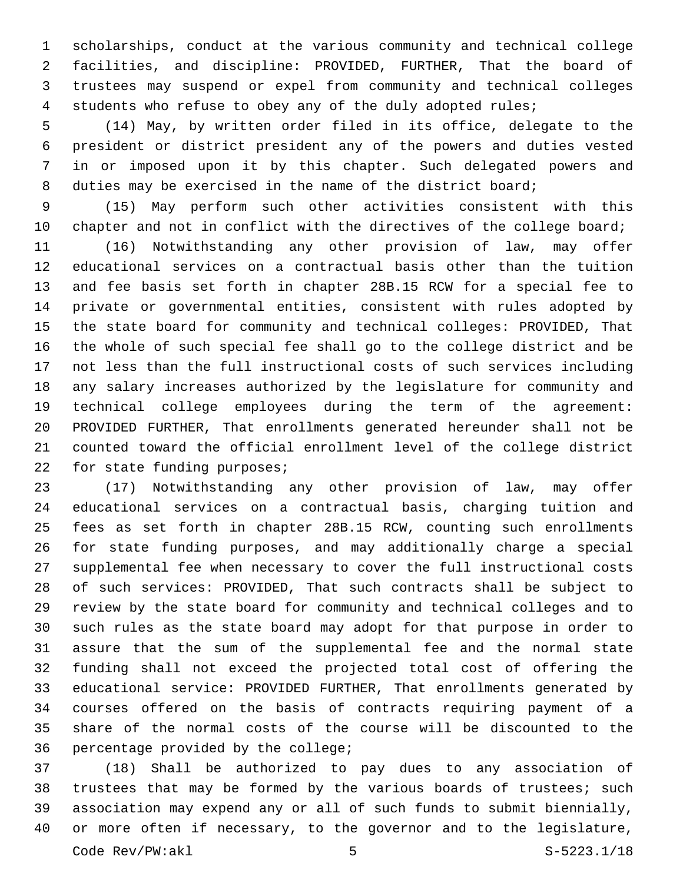scholarships, conduct at the various community and technical college facilities, and discipline: PROVIDED, FURTHER, That the board of trustees may suspend or expel from community and technical colleges students who refuse to obey any of the duly adopted rules;

 (14) May, by written order filed in its office, delegate to the president or district president any of the powers and duties vested in or imposed upon it by this chapter. Such delegated powers and duties may be exercised in the name of the district board;

 (15) May perform such other activities consistent with this 10 chapter and not in conflict with the directives of the college board;

 (16) Notwithstanding any other provision of law, may offer educational services on a contractual basis other than the tuition and fee basis set forth in chapter 28B.15 RCW for a special fee to private or governmental entities, consistent with rules adopted by the state board for community and technical colleges: PROVIDED, That the whole of such special fee shall go to the college district and be not less than the full instructional costs of such services including any salary increases authorized by the legislature for community and technical college employees during the term of the agreement: PROVIDED FURTHER, That enrollments generated hereunder shall not be counted toward the official enrollment level of the college district 22 for state funding purposes;

 (17) Notwithstanding any other provision of law, may offer educational services on a contractual basis, charging tuition and fees as set forth in chapter 28B.15 RCW, counting such enrollments for state funding purposes, and may additionally charge a special supplemental fee when necessary to cover the full instructional costs of such services: PROVIDED, That such contracts shall be subject to review by the state board for community and technical colleges and to such rules as the state board may adopt for that purpose in order to assure that the sum of the supplemental fee and the normal state funding shall not exceed the projected total cost of offering the educational service: PROVIDED FURTHER, That enrollments generated by courses offered on the basis of contracts requiring payment of a share of the normal costs of the course will be discounted to the 36 percentage provided by the college;

 (18) Shall be authorized to pay dues to any association of 38 trustees that may be formed by the various boards of trustees; such association may expend any or all of such funds to submit biennially, or more often if necessary, to the governor and to the legislature,  $\text{Code } \text{Rev}/\text{PW:ak1}$   $\qquad \qquad 5$   $\qquad \qquad 5$   $\qquad \qquad \text{S-5223.1/18}$